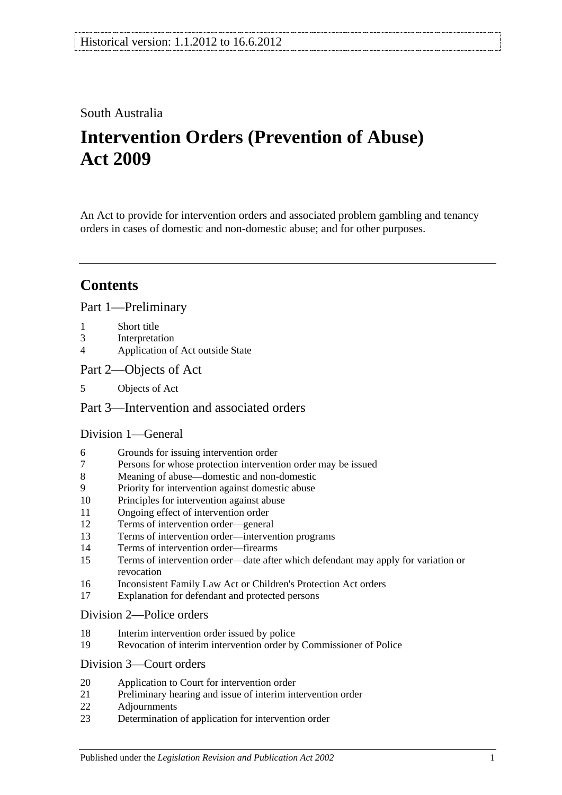## South Australia

# **Intervention Orders (Prevention of Abuse) Act 2009**

An Act to provide for intervention orders and associated problem gambling and tenancy orders in cases of domestic and non-domestic abuse; and for other purposes.

# **Contents**

[Part 1—Preliminary](#page-2-0)

- 1 [Short title](#page-2-1)
- 3 [Interpretation](#page-2-2)
- 4 [Application of Act outside State](#page-3-0)
- [Part 2—Objects of Act](#page-4-0)
- 5 [Objects of Act](#page-4-1)

### [Part 3—Intervention and associated orders](#page-4-2)

#### [Division 1—General](#page-4-3)

- 6 [Grounds for issuing intervention order](#page-4-4)
- 7 [Persons for whose protection intervention order may be issued](#page-4-5)
- 8 [Meaning of abuse—domestic and non-domestic](#page-5-0)
- 9 [Priority for intervention against domestic abuse](#page-7-0)
- 10 [Principles for intervention against abuse](#page-8-0)
- 11 [Ongoing effect of intervention order](#page-9-0)
- 12 [Terms of intervention order—general](#page-9-1)
- 13 [Terms of intervention order—intervention programs](#page-10-0)
- 14 [Terms of intervention order—firearms](#page-11-0)
- 15 [Terms of intervention order—date after which defendant may apply for variation or](#page-11-1)  [revocation](#page-11-1)
- 16 [Inconsistent Family Law Act or Children's Protection Act orders](#page-11-2)
- 17 [Explanation for defendant and protected persons](#page-12-0)

#### [Division 2—Police orders](#page-12-1)

- 18 [Interim intervention order issued by police](#page-12-2)
- 19 [Revocation of interim intervention order by Commissioner of Police](#page-13-0)

### [Division 3—Court orders](#page-13-1)

- 20 [Application to Court for intervention order](#page-13-2)
- 21 [Preliminary hearing and issue of interim intervention order](#page-14-0)
- 22 [Adjournments](#page-15-0)
- 23 [Determination of application for intervention order](#page-16-0)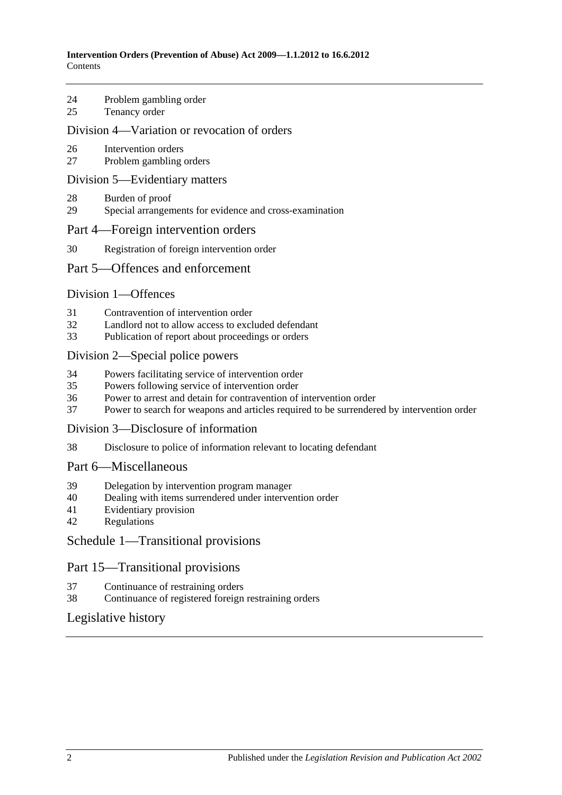- 24 [Problem gambling order](#page-17-0)
- 25 [Tenancy order](#page-17-1)

#### [Division 4—Variation or revocation of orders](#page-18-0)

- 26 [Intervention orders](#page-18-1)
- 27 [Problem gambling orders](#page-20-0)

#### [Division 5—Evidentiary matters](#page-20-1)

- 28 [Burden of proof](#page-20-2)
- 29 [Special arrangements for evidence and cross-examination](#page-20-3)

#### [Part 4—Foreign intervention orders](#page-21-0)

30 [Registration of foreign intervention order](#page-21-1)

#### [Part 5—Offences and enforcement](#page-22-0)

#### [Division 1—Offences](#page-22-1)

- 31 [Contravention of intervention order](#page-22-2)
- 32 [Landlord not to allow access to excluded defendant](#page-22-3)<br>33 Publication of report about proceedings or orders
- [Publication of report about proceedings or orders](#page-22-4)

#### [Division 2—Special police powers](#page-23-0)

- 34 [Powers facilitating service of intervention order](#page-23-1)
- 35 [Powers following service of intervention order](#page-24-0)
- 36 [Power to arrest and detain for contravention of intervention order](#page-24-1)
- 37 [Power to search for weapons and articles required to be surrendered by intervention order](#page-24-2)

#### [Division 3—Disclosure of information](#page-25-0)

38 [Disclosure to police of information relevant to locating defendant](#page-25-1)

#### [Part 6—Miscellaneous](#page-25-2)

- 39 [Delegation by intervention program manager](#page-25-3)
- 40 [Dealing with items surrendered under intervention order](#page-25-4)
- 41 [Evidentiary provision](#page-25-5)
- 42 [Regulations](#page-25-6)

#### [Schedule 1—Transitional provisions](#page-26-0)

#### Part 15—Transitional provisions

- 37 [Continuance of restraining orders](#page-26-1)
- 38 [Continuance of registered foreign restraining orders](#page-26-2)

#### [Legislative history](#page-27-0)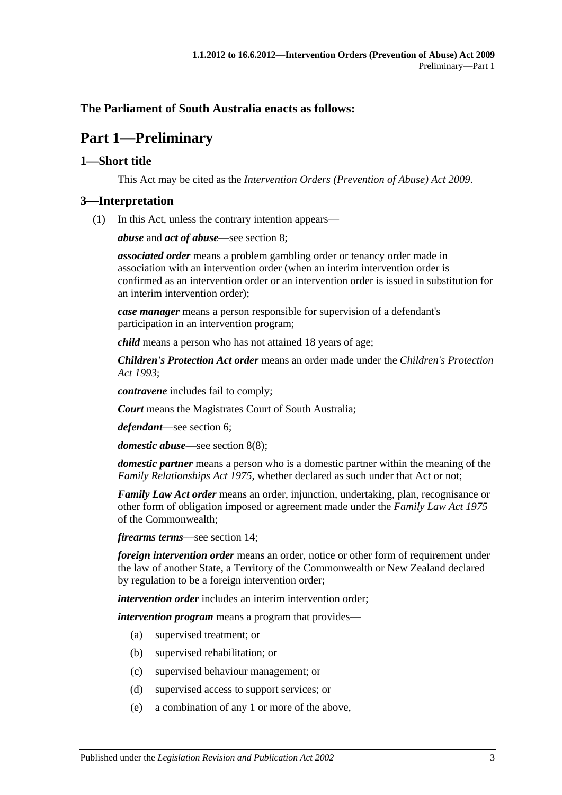### <span id="page-2-0"></span>**The Parliament of South Australia enacts as follows:**

# **Part 1—Preliminary**

#### <span id="page-2-1"></span>**1—Short title**

This Act may be cited as the *Intervention Orders (Prevention of Abuse) Act 2009*.

#### <span id="page-2-2"></span>**3—Interpretation**

(1) In this Act, unless the contrary intention appears—

*abuse* and *act of abuse*—see [section](#page-5-0) 8;

*associated order* means a problem gambling order or tenancy order made in association with an intervention order (when an interim intervention order is confirmed as an intervention order or an intervention order is issued in substitution for an interim intervention order);

*case manager* means a person responsible for supervision of a defendant's participation in an intervention program;

*child* means a person who has not attained 18 years of age;

*Children's Protection Act order* means an order made under the *[Children's Protection](http://www.legislation.sa.gov.au/index.aspx?action=legref&type=act&legtitle=Childrens%20Protection%20Act%201993)  Act [1993](http://www.legislation.sa.gov.au/index.aspx?action=legref&type=act&legtitle=Childrens%20Protection%20Act%201993)*;

*contravene* includes fail to comply;

*Court* means the Magistrates Court of South Australia;

*defendant*—see [section](#page-4-4) 6;

*domestic abuse*—see [section](#page-7-1) 8(8);

*domestic partner* means a person who is a domestic partner within the meaning of the *[Family Relationships Act](http://www.legislation.sa.gov.au/index.aspx?action=legref&type=act&legtitle=Family%20Relationships%20Act%201975) 1975*, whether declared as such under that Act or not;

*Family Law Act order* means an order, injunction, undertaking, plan, recognisance or other form of obligation imposed or agreement made under the *Family Law Act 1975* of the Commonwealth;

*firearms terms*—see [section](#page-11-0) 14;

*foreign intervention order* means an order, notice or other form of requirement under the law of another State, a Territory of the Commonwealth or New Zealand declared by regulation to be a foreign intervention order;

*intervention order* includes an interim intervention order;

*intervention program* means a program that provides—

- (a) supervised treatment; or
- (b) supervised rehabilitation; or
- (c) supervised behaviour management; or
- (d) supervised access to support services; or
- (e) a combination of any 1 or more of the above,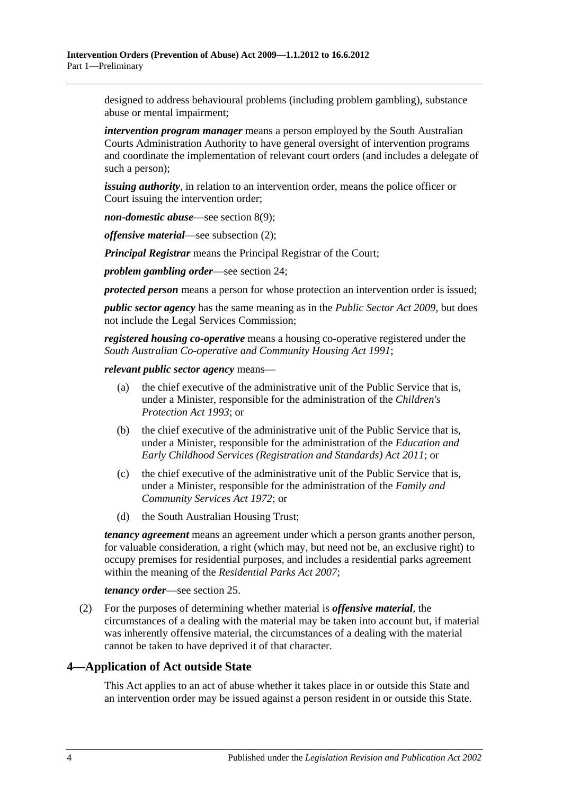designed to address behavioural problems (including problem gambling), substance abuse or mental impairment;

*intervention program manager* means a person employed by the South Australian Courts Administration Authority to have general oversight of intervention programs and coordinate the implementation of relevant court orders (and includes a delegate of such a person);

*issuing authority*, in relation to an intervention order, means the police officer or Court issuing the intervention order;

*non-domestic abuse*—see [section](#page-7-2) 8(9);

*offensive material*—see [subsection](#page-3-1) (2);

*Principal Registrar* means the Principal Registrar of the Court;

*problem gambling order*—see [section](#page-17-0) 24;

*protected person* means a person for whose protection an intervention order is issued;

*public sector agency* has the same meaning as in the *[Public Sector Act](http://www.legislation.sa.gov.au/index.aspx?action=legref&type=act&legtitle=Public%20Sector%20Act%202009) 2009*, but does not include the Legal Services Commission;

*registered housing co-operative* means a housing co-operative registered under the *[South Australian Co-operative and Community Housing Act](http://www.legislation.sa.gov.au/index.aspx?action=legref&type=act&legtitle=South%20Australian%20Co-operative%20and%20Community%20Housing%20Act%201991) 1991*;

*relevant public sector agency* means—

- (a) the chief executive of the administrative unit of the Public Service that is, under a Minister, responsible for the administration of the *[Children's](http://www.legislation.sa.gov.au/index.aspx?action=legref&type=act&legtitle=Childrens%20Protection%20Act%201993)  [Protection Act](http://www.legislation.sa.gov.au/index.aspx?action=legref&type=act&legtitle=Childrens%20Protection%20Act%201993) 1993*; or
- (b) the chief executive of the administrative unit of the Public Service that is, under a Minister, responsible for the administration of the *[Education and](http://www.legislation.sa.gov.au/index.aspx?action=legref&type=act&legtitle=Education%20and%20Early%20Childhood%20Services%20(Registration%20and%20Standards)%20Act%202011)  [Early Childhood Services \(Registration and Standards\) Act](http://www.legislation.sa.gov.au/index.aspx?action=legref&type=act&legtitle=Education%20and%20Early%20Childhood%20Services%20(Registration%20and%20Standards)%20Act%202011) 2011*; or
- (c) the chief executive of the administrative unit of the Public Service that is, under a Minister, responsible for the administration of the *[Family and](http://www.legislation.sa.gov.au/index.aspx?action=legref&type=act&legtitle=Family%20and%20Community%20Services%20Act%201972)  [Community Services Act](http://www.legislation.sa.gov.au/index.aspx?action=legref&type=act&legtitle=Family%20and%20Community%20Services%20Act%201972) 1972*; or
- (d) the South Australian Housing Trust;

*tenancy agreement* means an agreement under which a person grants another person, for valuable consideration, a right (which may, but need not be, an exclusive right) to occupy premises for residential purposes, and includes a residential parks agreement within the meaning of the *[Residential Parks Act](http://www.legislation.sa.gov.au/index.aspx?action=legref&type=act&legtitle=Residential%20Parks%20Act%202007) 2007*;

#### *tenancy order*—see [section](#page-17-1) 25.

<span id="page-3-1"></span>(2) For the purposes of determining whether material is *offensive material*, the circumstances of a dealing with the material may be taken into account but, if material was inherently offensive material, the circumstances of a dealing with the material cannot be taken to have deprived it of that character.

### <span id="page-3-0"></span>**4—Application of Act outside State**

This Act applies to an act of abuse whether it takes place in or outside this State and an intervention order may be issued against a person resident in or outside this State.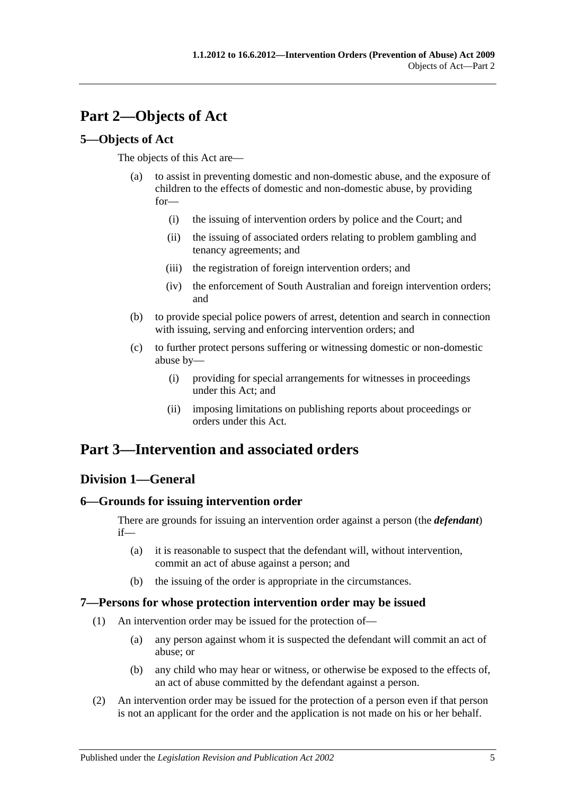# <span id="page-4-0"></span>**Part 2—Objects of Act**

### <span id="page-4-1"></span>**5—Objects of Act**

The objects of this Act are—

- (a) to assist in preventing domestic and non-domestic abuse, and the exposure of children to the effects of domestic and non-domestic abuse, by providing for—
	- (i) the issuing of intervention orders by police and the Court; and
	- (ii) the issuing of associated orders relating to problem gambling and tenancy agreements; and
	- (iii) the registration of foreign intervention orders; and
	- (iv) the enforcement of South Australian and foreign intervention orders; and
- (b) to provide special police powers of arrest, detention and search in connection with issuing, serving and enforcing intervention orders; and
- (c) to further protect persons suffering or witnessing domestic or non-domestic abuse by—
	- (i) providing for special arrangements for witnesses in proceedings under this Act; and
	- (ii) imposing limitations on publishing reports about proceedings or orders under this Act.

# <span id="page-4-2"></span>**Part 3—Intervention and associated orders**

## <span id="page-4-3"></span>**Division 1—General**

### <span id="page-4-4"></span>**6—Grounds for issuing intervention order**

There are grounds for issuing an intervention order against a person (the *defendant*) if—

- (a) it is reasonable to suspect that the defendant will, without intervention, commit an act of abuse against a person; and
- (b) the issuing of the order is appropriate in the circumstances.

### <span id="page-4-5"></span>**7—Persons for whose protection intervention order may be issued**

- (1) An intervention order may be issued for the protection of—
	- (a) any person against whom it is suspected the defendant will commit an act of abuse; or
	- (b) any child who may hear or witness, or otherwise be exposed to the effects of, an act of abuse committed by the defendant against a person.
- (2) An intervention order may be issued for the protection of a person even if that person is not an applicant for the order and the application is not made on his or her behalf.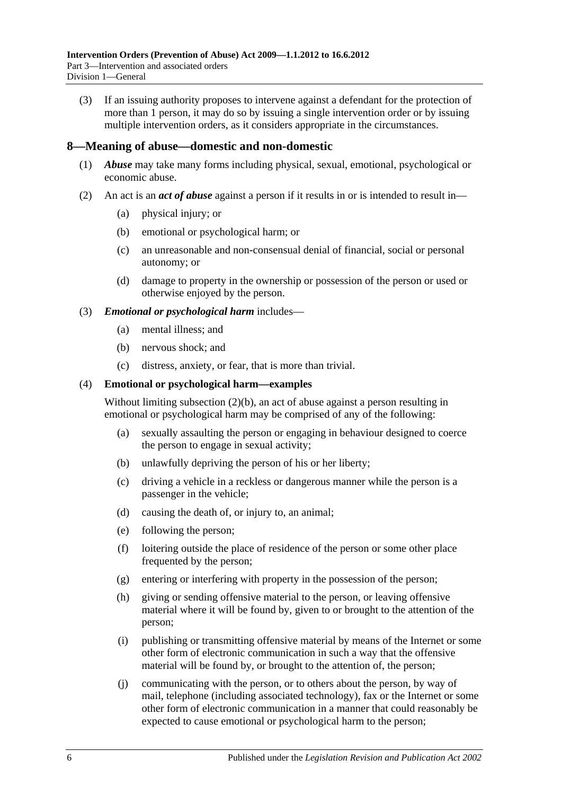(3) If an issuing authority proposes to intervene against a defendant for the protection of more than 1 person, it may do so by issuing a single intervention order or by issuing multiple intervention orders, as it considers appropriate in the circumstances.

#### <span id="page-5-0"></span>**8—Meaning of abuse—domestic and non-domestic**

- (1) *Abuse* may take many forms including physical, sexual, emotional, psychological or economic abuse.
- <span id="page-5-2"></span><span id="page-5-1"></span>(2) An act is an *act of abuse* against a person if it results in or is intended to result in—
	- (a) physical injury; or
	- (b) emotional or psychological harm; or
	- (c) an unreasonable and non-consensual denial of financial, social or personal autonomy; or
	- (d) damage to property in the ownership or possession of the person or used or otherwise enjoyed by the person.

#### (3) *Emotional or psychological harm* includes—

- (a) mental illness; and
- (b) nervous shock; and
- (c) distress, anxiety, or fear, that is more than trivial.

#### (4) **Emotional or psychological harm—examples**

Without limiting [subsection](#page-5-1) (2)(b), an act of abuse against a person resulting in emotional or psychological harm may be comprised of any of the following:

- (a) sexually assaulting the person or engaging in behaviour designed to coerce the person to engage in sexual activity;
- (b) unlawfully depriving the person of his or her liberty;
- (c) driving a vehicle in a reckless or dangerous manner while the person is a passenger in the vehicle;
- (d) causing the death of, or injury to, an animal;
- (e) following the person;
- (f) loitering outside the place of residence of the person or some other place frequented by the person;
- (g) entering or interfering with property in the possession of the person;
- (h) giving or sending offensive material to the person, or leaving offensive material where it will be found by, given to or brought to the attention of the person;
- (i) publishing or transmitting offensive material by means of the Internet or some other form of electronic communication in such a way that the offensive material will be found by, or brought to the attention of, the person;
- (j) communicating with the person, or to others about the person, by way of mail, telephone (including associated technology), fax or the Internet or some other form of electronic communication in a manner that could reasonably be expected to cause emotional or psychological harm to the person;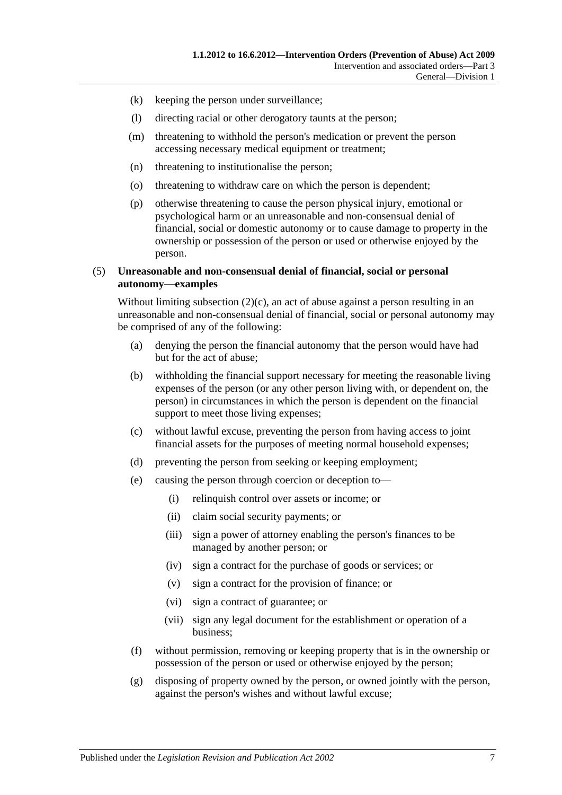- (k) keeping the person under surveillance;
- (l) directing racial or other derogatory taunts at the person;
- (m) threatening to withhold the person's medication or prevent the person accessing necessary medical equipment or treatment;
- (n) threatening to institutionalise the person;
- (o) threatening to withdraw care on which the person is dependent;
- (p) otherwise threatening to cause the person physical injury, emotional or psychological harm or an unreasonable and non-consensual denial of financial, social or domestic autonomy or to cause damage to property in the ownership or possession of the person or used or otherwise enjoyed by the person.

#### (5) **Unreasonable and non-consensual denial of financial, social or personal autonomy—examples**

Without limiting [subsection](#page-5-2)  $(2)(c)$ , an act of abuse against a person resulting in an unreasonable and non-consensual denial of financial, social or personal autonomy may be comprised of any of the following:

- (a) denying the person the financial autonomy that the person would have had but for the act of abuse;
- (b) withholding the financial support necessary for meeting the reasonable living expenses of the person (or any other person living with, or dependent on, the person) in circumstances in which the person is dependent on the financial support to meet those living expenses;
- (c) without lawful excuse, preventing the person from having access to joint financial assets for the purposes of meeting normal household expenses;
- (d) preventing the person from seeking or keeping employment;
- (e) causing the person through coercion or deception to—
	- (i) relinquish control over assets or income; or
	- (ii) claim social security payments; or
	- (iii) sign a power of attorney enabling the person's finances to be managed by another person; or
	- (iv) sign a contract for the purchase of goods or services; or
	- (v) sign a contract for the provision of finance; or
	- (vi) sign a contract of guarantee; or
	- (vii) sign any legal document for the establishment or operation of a business;
- (f) without permission, removing or keeping property that is in the ownership or possession of the person or used or otherwise enjoyed by the person;
- (g) disposing of property owned by the person, or owned jointly with the person, against the person's wishes and without lawful excuse;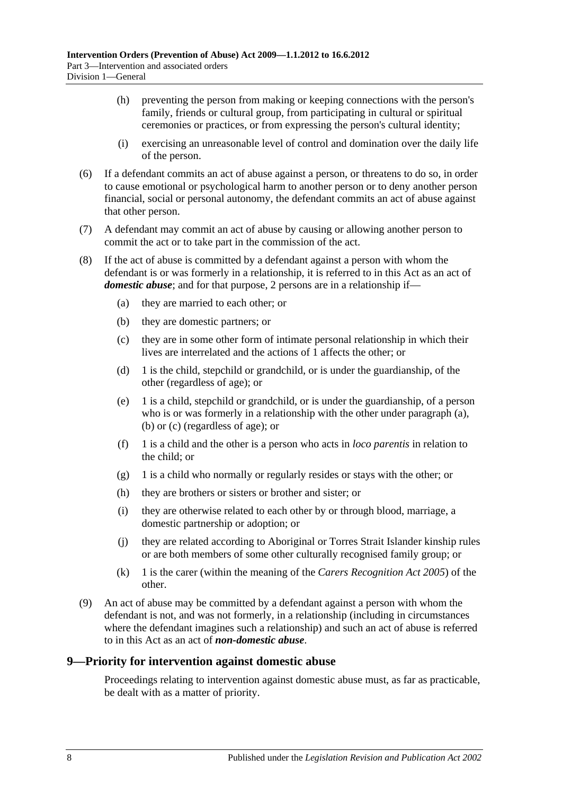- (h) preventing the person from making or keeping connections with the person's family, friends or cultural group, from participating in cultural or spiritual ceremonies or practices, or from expressing the person's cultural identity;
- (i) exercising an unreasonable level of control and domination over the daily life of the person.
- (6) If a defendant commits an act of abuse against a person, or threatens to do so, in order to cause emotional or psychological harm to another person or to deny another person financial, social or personal autonomy, the defendant commits an act of abuse against that other person.
- (7) A defendant may commit an act of abuse by causing or allowing another person to commit the act or to take part in the commission of the act.
- <span id="page-7-5"></span><span id="page-7-4"></span><span id="page-7-3"></span><span id="page-7-1"></span>(8) If the act of abuse is committed by a defendant against a person with whom the defendant is or was formerly in a relationship, it is referred to in this Act as an act of *domestic abuse*; and for that purpose, 2 persons are in a relationship if—
	- (a) they are married to each other; or
	- (b) they are domestic partners; or
	- (c) they are in some other form of intimate personal relationship in which their lives are interrelated and the actions of 1 affects the other; or
	- (d) 1 is the child, stepchild or grandchild, or is under the guardianship, of the other (regardless of age); or
	- (e) 1 is a child, stepchild or grandchild, or is under the guardianship, of a person who is or was formerly in a relationship with the other under [paragraph](#page-7-3) (a), [\(b\)](#page-7-4) or [\(c\)](#page-7-5) (regardless of age); or
	- (f) 1 is a child and the other is a person who acts in *loco parentis* in relation to the child; or
	- (g) 1 is a child who normally or regularly resides or stays with the other; or
	- (h) they are brothers or sisters or brother and sister; or
	- (i) they are otherwise related to each other by or through blood, marriage, a domestic partnership or adoption; or
	- (j) they are related according to Aboriginal or Torres Strait Islander kinship rules or are both members of some other culturally recognised family group; or
	- (k) 1 is the carer (within the meaning of the *[Carers Recognition Act](http://www.legislation.sa.gov.au/index.aspx?action=legref&type=act&legtitle=Carers%20Recognition%20Act%202005) 2005*) of the other.
- <span id="page-7-2"></span>(9) An act of abuse may be committed by a defendant against a person with whom the defendant is not, and was not formerly, in a relationship (including in circumstances where the defendant imagines such a relationship) and such an act of abuse is referred to in this Act as an act of *non-domestic abuse*.

#### <span id="page-7-0"></span>**9—Priority for intervention against domestic abuse**

Proceedings relating to intervention against domestic abuse must, as far as practicable, be dealt with as a matter of priority.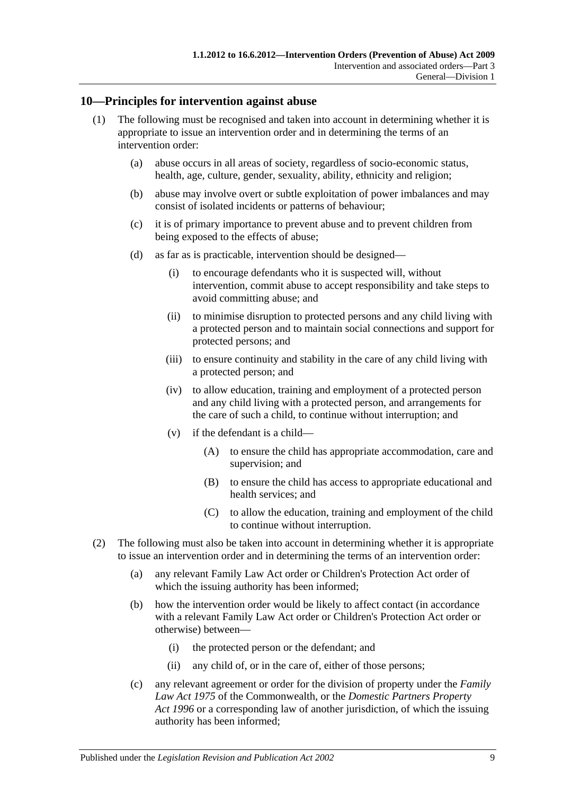#### <span id="page-8-0"></span>**10—Principles for intervention against abuse**

- (1) The following must be recognised and taken into account in determining whether it is appropriate to issue an intervention order and in determining the terms of an intervention order:
	- (a) abuse occurs in all areas of society, regardless of socio-economic status, health, age, culture, gender, sexuality, ability, ethnicity and religion;
	- (b) abuse may involve overt or subtle exploitation of power imbalances and may consist of isolated incidents or patterns of behaviour;
	- (c) it is of primary importance to prevent abuse and to prevent children from being exposed to the effects of abuse;
	- (d) as far as is practicable, intervention should be designed—
		- (i) to encourage defendants who it is suspected will, without intervention, commit abuse to accept responsibility and take steps to avoid committing abuse; and
		- (ii) to minimise disruption to protected persons and any child living with a protected person and to maintain social connections and support for protected persons; and
		- (iii) to ensure continuity and stability in the care of any child living with a protected person; and
		- (iv) to allow education, training and employment of a protected person and any child living with a protected person, and arrangements for the care of such a child, to continue without interruption; and
		- (v) if the defendant is a child—
			- (A) to ensure the child has appropriate accommodation, care and supervision; and
			- (B) to ensure the child has access to appropriate educational and health services; and
			- (C) to allow the education, training and employment of the child to continue without interruption.
- (2) The following must also be taken into account in determining whether it is appropriate to issue an intervention order and in determining the terms of an intervention order:
	- (a) any relevant Family Law Act order or Children's Protection Act order of which the issuing authority has been informed;
	- (b) how the intervention order would be likely to affect contact (in accordance with a relevant Family Law Act order or Children's Protection Act order or otherwise) between—
		- (i) the protected person or the defendant; and
		- (ii) any child of, or in the care of, either of those persons;
	- (c) any relevant agreement or order for the division of property under the *Family Law Act 1975* of the Commonwealth, or the *[Domestic Partners Property](http://www.legislation.sa.gov.au/index.aspx?action=legref&type=act&legtitle=Domestic%20Partners%20Property%20Act%201996)  Act [1996](http://www.legislation.sa.gov.au/index.aspx?action=legref&type=act&legtitle=Domestic%20Partners%20Property%20Act%201996)* or a corresponding law of another jurisdiction, of which the issuing authority has been informed;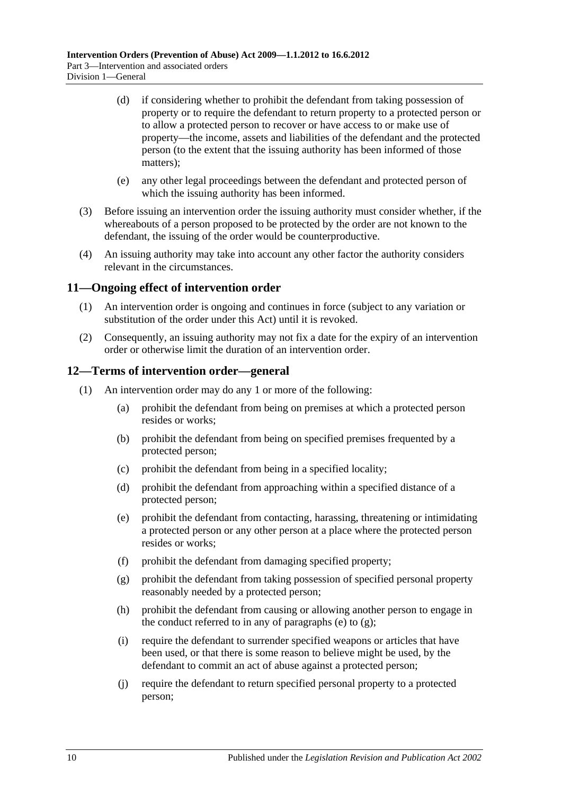- (d) if considering whether to prohibit the defendant from taking possession of property or to require the defendant to return property to a protected person or to allow a protected person to recover or have access to or make use of property—the income, assets and liabilities of the defendant and the protected person (to the extent that the issuing authority has been informed of those matters);
- (e) any other legal proceedings between the defendant and protected person of which the issuing authority has been informed.
- (3) Before issuing an intervention order the issuing authority must consider whether, if the whereabouts of a person proposed to be protected by the order are not known to the defendant, the issuing of the order would be counterproductive.
- (4) An issuing authority may take into account any other factor the authority considers relevant in the circumstances.

### <span id="page-9-0"></span>**11—Ongoing effect of intervention order**

- (1) An intervention order is ongoing and continues in force (subject to any variation or substitution of the order under this Act) until it is revoked.
- (2) Consequently, an issuing authority may not fix a date for the expiry of an intervention order or otherwise limit the duration of an intervention order.

#### <span id="page-9-1"></span>**12—Terms of intervention order—general**

- <span id="page-9-3"></span><span id="page-9-2"></span>(1) An intervention order may do any 1 or more of the following:
	- (a) prohibit the defendant from being on premises at which a protected person resides or works;
	- (b) prohibit the defendant from being on specified premises frequented by a protected person;
	- (c) prohibit the defendant from being in a specified locality;
	- (d) prohibit the defendant from approaching within a specified distance of a protected person;
	- (e) prohibit the defendant from contacting, harassing, threatening or intimidating a protected person or any other person at a place where the protected person resides or works;
	- (f) prohibit the defendant from damaging specified property;
	- (g) prohibit the defendant from taking possession of specified personal property reasonably needed by a protected person;
	- (h) prohibit the defendant from causing or allowing another person to engage in the conduct referred to in any of [paragraphs](#page-9-2) (e) to  $(g)$ ;
	- (i) require the defendant to surrender specified weapons or articles that have been used, or that there is some reason to believe might be used, by the defendant to commit an act of abuse against a protected person;
	- (j) require the defendant to return specified personal property to a protected person;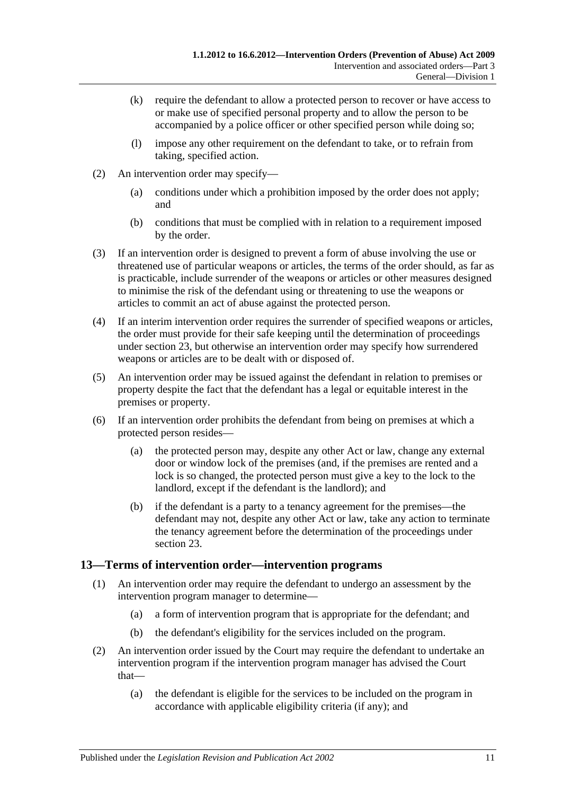- (k) require the defendant to allow a protected person to recover or have access to or make use of specified personal property and to allow the person to be accompanied by a police officer or other specified person while doing so;
- (l) impose any other requirement on the defendant to take, or to refrain from taking, specified action.
- (2) An intervention order may specify—
	- (a) conditions under which a prohibition imposed by the order does not apply; and
	- (b) conditions that must be complied with in relation to a requirement imposed by the order.
- (3) If an intervention order is designed to prevent a form of abuse involving the use or threatened use of particular weapons or articles, the terms of the order should, as far as is practicable, include surrender of the weapons or articles or other measures designed to minimise the risk of the defendant using or threatening to use the weapons or articles to commit an act of abuse against the protected person.
- (4) If an interim intervention order requires the surrender of specified weapons or articles, the order must provide for their safe keeping until the determination of proceedings under [section](#page-16-0) 23, but otherwise an intervention order may specify how surrendered weapons or articles are to be dealt with or disposed of.
- (5) An intervention order may be issued against the defendant in relation to premises or property despite the fact that the defendant has a legal or equitable interest in the premises or property.
- (6) If an intervention order prohibits the defendant from being on premises at which a protected person resides—
	- (a) the protected person may, despite any other Act or law, change any external door or window lock of the premises (and, if the premises are rented and a lock is so changed, the protected person must give a key to the lock to the landlord, except if the defendant is the landlord); and
	- (b) if the defendant is a party to a tenancy agreement for the premises—the defendant may not, despite any other Act or law, take any action to terminate the tenancy agreement before the determination of the proceedings under [section](#page-16-0) 23.

### <span id="page-10-0"></span>**13—Terms of intervention order—intervention programs**

- (1) An intervention order may require the defendant to undergo an assessment by the intervention program manager to determine—
	- (a) a form of intervention program that is appropriate for the defendant; and
	- (b) the defendant's eligibility for the services included on the program.
- (2) An intervention order issued by the Court may require the defendant to undertake an intervention program if the intervention program manager has advised the Court that—
	- (a) the defendant is eligible for the services to be included on the program in accordance with applicable eligibility criteria (if any); and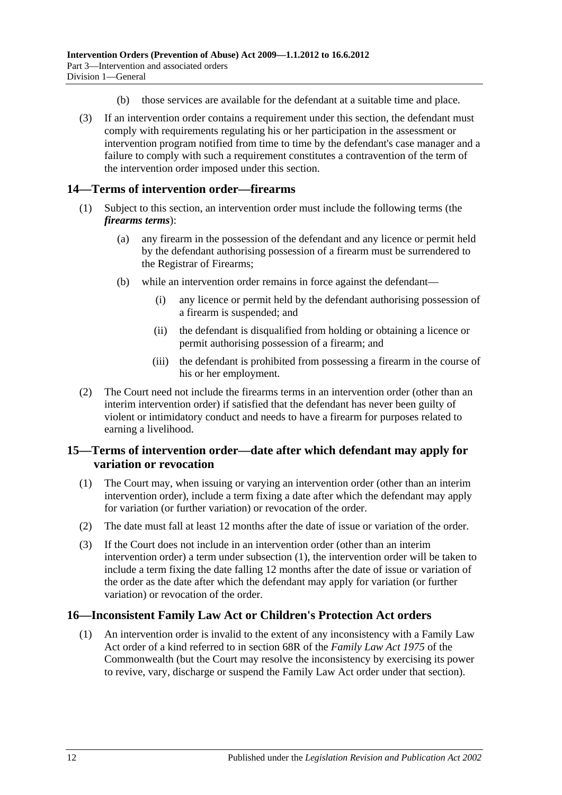- (b) those services are available for the defendant at a suitable time and place.
- (3) If an intervention order contains a requirement under this section, the defendant must comply with requirements regulating his or her participation in the assessment or intervention program notified from time to time by the defendant's case manager and a failure to comply with such a requirement constitutes a contravention of the term of the intervention order imposed under this section.

### <span id="page-11-0"></span>**14—Terms of intervention order—firearms**

- (1) Subject to this section, an intervention order must include the following terms (the *firearms terms*):
	- (a) any firearm in the possession of the defendant and any licence or permit held by the defendant authorising possession of a firearm must be surrendered to the Registrar of Firearms;
	- (b) while an intervention order remains in force against the defendant—
		- (i) any licence or permit held by the defendant authorising possession of a firearm is suspended; and
		- (ii) the defendant is disqualified from holding or obtaining a licence or permit authorising possession of a firearm; and
		- (iii) the defendant is prohibited from possessing a firearm in the course of his or her employment.
- (2) The Court need not include the firearms terms in an intervention order (other than an interim intervention order) if satisfied that the defendant has never been guilty of violent or intimidatory conduct and needs to have a firearm for purposes related to earning a livelihood.

### <span id="page-11-1"></span>**15—Terms of intervention order—date after which defendant may apply for variation or revocation**

- <span id="page-11-3"></span>(1) The Court may, when issuing or varying an intervention order (other than an interim intervention order), include a term fixing a date after which the defendant may apply for variation (or further variation) or revocation of the order.
- (2) The date must fall at least 12 months after the date of issue or variation of the order.
- (3) If the Court does not include in an intervention order (other than an interim intervention order) a term under [subsection](#page-11-3) (1), the intervention order will be taken to include a term fixing the date falling 12 months after the date of issue or variation of the order as the date after which the defendant may apply for variation (or further variation) or revocation of the order.

### <span id="page-11-2"></span>**16—Inconsistent Family Law Act or Children's Protection Act orders**

(1) An intervention order is invalid to the extent of any inconsistency with a Family Law Act order of a kind referred to in section 68R of the *Family Law Act 1975* of the Commonwealth (but the Court may resolve the inconsistency by exercising its power to revive, vary, discharge or suspend the Family Law Act order under that section).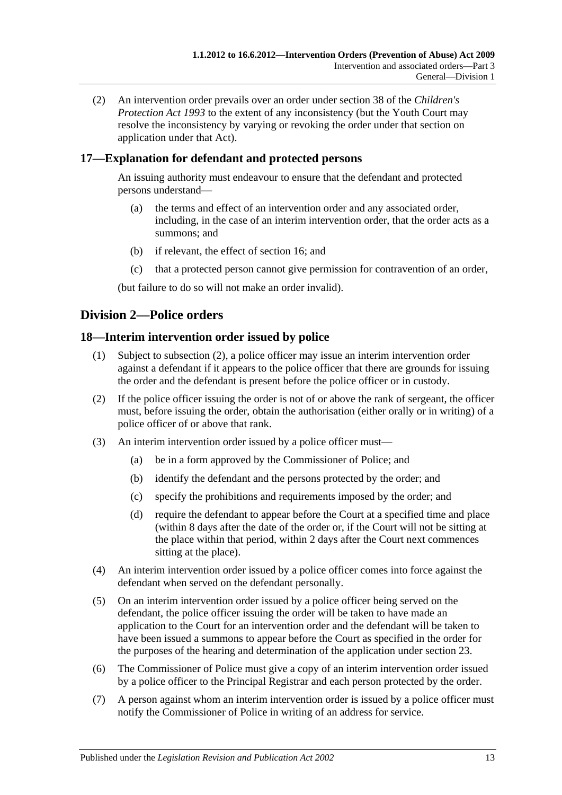(2) An intervention order prevails over an order under section 38 of the *[Children's](http://www.legislation.sa.gov.au/index.aspx?action=legref&type=act&legtitle=Childrens%20Protection%20Act%201993)  [Protection Act](http://www.legislation.sa.gov.au/index.aspx?action=legref&type=act&legtitle=Childrens%20Protection%20Act%201993) 1993* to the extent of any inconsistency (but the Youth Court may resolve the inconsistency by varying or revoking the order under that section on application under that Act).

### <span id="page-12-0"></span>**17—Explanation for defendant and protected persons**

An issuing authority must endeavour to ensure that the defendant and protected persons understand—

- (a) the terms and effect of an intervention order and any associated order, including, in the case of an interim intervention order, that the order acts as a summons; and
- (b) if relevant, the effect of [section](#page-11-2) 16; and
- (c) that a protected person cannot give permission for contravention of an order,

(but failure to do so will not make an order invalid).

### <span id="page-12-1"></span>**Division 2—Police orders**

### <span id="page-12-2"></span>**18—Interim intervention order issued by police**

- (1) Subject to [subsection](#page-12-3) (2), a police officer may issue an interim intervention order against a defendant if it appears to the police officer that there are grounds for issuing the order and the defendant is present before the police officer or in custody.
- <span id="page-12-3"></span>(2) If the police officer issuing the order is not of or above the rank of sergeant, the officer must, before issuing the order, obtain the authorisation (either orally or in writing) of a police officer of or above that rank.
- (3) An interim intervention order issued by a police officer must—
	- (a) be in a form approved by the Commissioner of Police; and
	- (b) identify the defendant and the persons protected by the order; and
	- (c) specify the prohibitions and requirements imposed by the order; and
	- (d) require the defendant to appear before the Court at a specified time and place (within 8 days after the date of the order or, if the Court will not be sitting at the place within that period, within 2 days after the Court next commences sitting at the place).
- (4) An interim intervention order issued by a police officer comes into force against the defendant when served on the defendant personally.
- (5) On an interim intervention order issued by a police officer being served on the defendant, the police officer issuing the order will be taken to have made an application to the Court for an intervention order and the defendant will be taken to have been issued a summons to appear before the Court as specified in the order for the purposes of the hearing and determination of the application under [section](#page-16-0) 23.
- (6) The Commissioner of Police must give a copy of an interim intervention order issued by a police officer to the Principal Registrar and each person protected by the order.
- <span id="page-12-4"></span>(7) A person against whom an interim intervention order is issued by a police officer must notify the Commissioner of Police in writing of an address for service.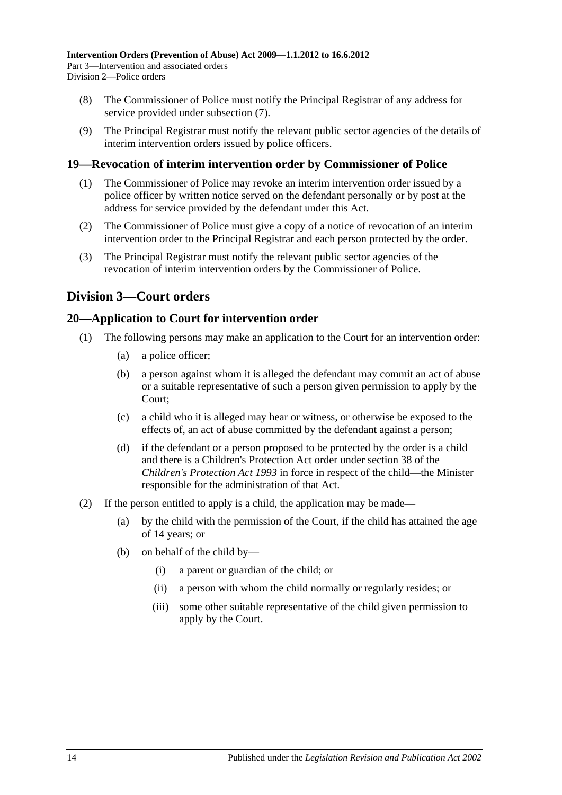- (8) The Commissioner of Police must notify the Principal Registrar of any address for service provided under [subsection](#page-12-4) (7).
- (9) The Principal Registrar must notify the relevant public sector agencies of the details of interim intervention orders issued by police officers.

### <span id="page-13-0"></span>**19—Revocation of interim intervention order by Commissioner of Police**

- (1) The Commissioner of Police may revoke an interim intervention order issued by a police officer by written notice served on the defendant personally or by post at the address for service provided by the defendant under this Act.
- (2) The Commissioner of Police must give a copy of a notice of revocation of an interim intervention order to the Principal Registrar and each person protected by the order.
- (3) The Principal Registrar must notify the relevant public sector agencies of the revocation of interim intervention orders by the Commissioner of Police.

### <span id="page-13-1"></span>**Division 3—Court orders**

### <span id="page-13-2"></span>**20—Application to Court for intervention order**

- (1) The following persons may make an application to the Court for an intervention order:
	- (a) a police officer;
	- (b) a person against whom it is alleged the defendant may commit an act of abuse or a suitable representative of such a person given permission to apply by the Court;
	- (c) a child who it is alleged may hear or witness, or otherwise be exposed to the effects of, an act of abuse committed by the defendant against a person;
	- (d) if the defendant or a person proposed to be protected by the order is a child and there is a Children's Protection Act order under section 38 of the *[Children's Protection Act](http://www.legislation.sa.gov.au/index.aspx?action=legref&type=act&legtitle=Childrens%20Protection%20Act%201993) 1993* in force in respect of the child—the Minister responsible for the administration of that Act.
- (2) If the person entitled to apply is a child, the application may be made—
	- (a) by the child with the permission of the Court, if the child has attained the age of 14 years; or
	- (b) on behalf of the child by—
		- (i) a parent or guardian of the child; or
		- (ii) a person with whom the child normally or regularly resides; or
		- (iii) some other suitable representative of the child given permission to apply by the Court.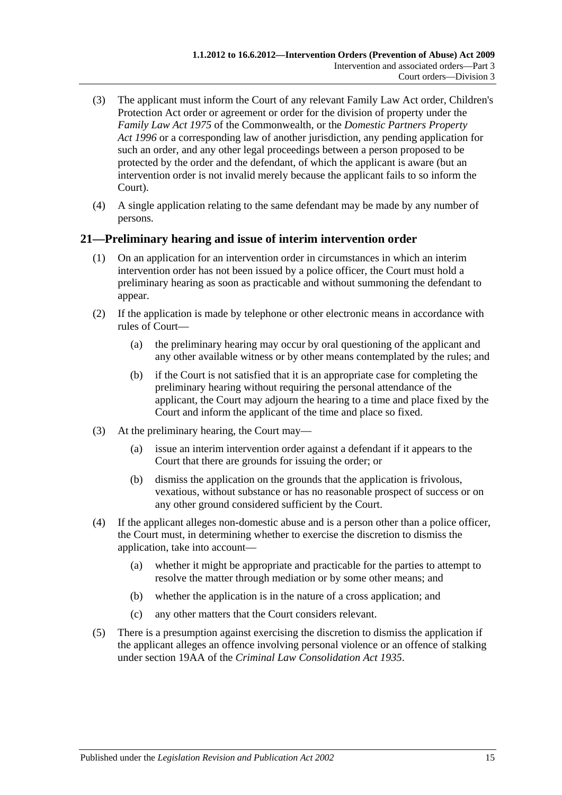- (3) The applicant must inform the Court of any relevant Family Law Act order, Children's Protection Act order or agreement or order for the division of property under the *Family Law Act 1975* of the Commonwealth, or the *[Domestic Partners Property](http://www.legislation.sa.gov.au/index.aspx?action=legref&type=act&legtitle=Domestic%20Partners%20Property%20Act%201996)  Act [1996](http://www.legislation.sa.gov.au/index.aspx?action=legref&type=act&legtitle=Domestic%20Partners%20Property%20Act%201996)* or a corresponding law of another jurisdiction, any pending application for such an order, and any other legal proceedings between a person proposed to be protected by the order and the defendant, of which the applicant is aware (but an intervention order is not invalid merely because the applicant fails to so inform the Court).
- (4) A single application relating to the same defendant may be made by any number of persons.

### <span id="page-14-0"></span>**21—Preliminary hearing and issue of interim intervention order**

- (1) On an application for an intervention order in circumstances in which an interim intervention order has not been issued by a police officer, the Court must hold a preliminary hearing as soon as practicable and without summoning the defendant to appear.
- (2) If the application is made by telephone or other electronic means in accordance with rules of Court—
	- (a) the preliminary hearing may occur by oral questioning of the applicant and any other available witness or by other means contemplated by the rules; and
	- (b) if the Court is not satisfied that it is an appropriate case for completing the preliminary hearing without requiring the personal attendance of the applicant, the Court may adjourn the hearing to a time and place fixed by the Court and inform the applicant of the time and place so fixed.
- (3) At the preliminary hearing, the Court may—
	- (a) issue an interim intervention order against a defendant if it appears to the Court that there are grounds for issuing the order; or
	- (b) dismiss the application on the grounds that the application is frivolous, vexatious, without substance or has no reasonable prospect of success or on any other ground considered sufficient by the Court.
- (4) If the applicant alleges non-domestic abuse and is a person other than a police officer, the Court must, in determining whether to exercise the discretion to dismiss the application, take into account—
	- (a) whether it might be appropriate and practicable for the parties to attempt to resolve the matter through mediation or by some other means; and
	- (b) whether the application is in the nature of a cross application; and
	- (c) any other matters that the Court considers relevant.
- (5) There is a presumption against exercising the discretion to dismiss the application if the applicant alleges an offence involving personal violence or an offence of stalking under section 19AA of the *[Criminal Law Consolidation Act](http://www.legislation.sa.gov.au/index.aspx?action=legref&type=act&legtitle=Criminal%20Law%20Consolidation%20Act%201935) 1935*.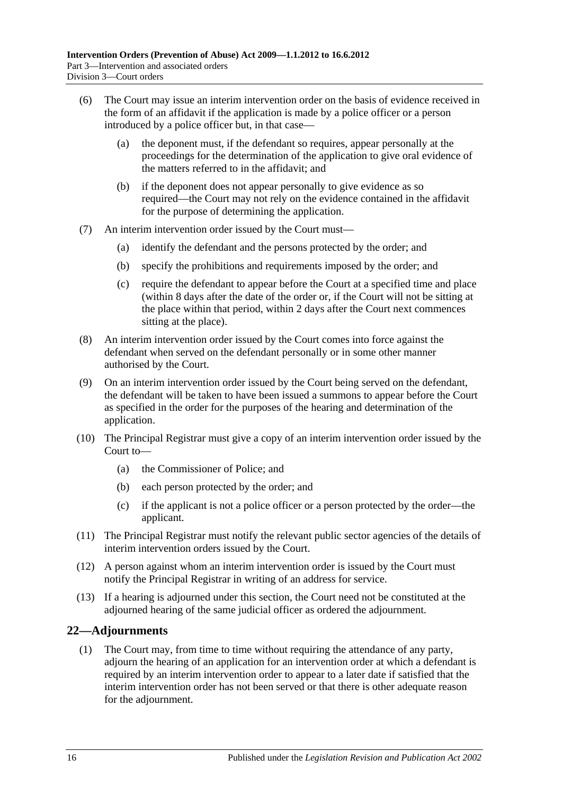- (6) The Court may issue an interim intervention order on the basis of evidence received in the form of an affidavit if the application is made by a police officer or a person introduced by a police officer but, in that case—
	- (a) the deponent must, if the defendant so requires, appear personally at the proceedings for the determination of the application to give oral evidence of the matters referred to in the affidavit; and
	- (b) if the deponent does not appear personally to give evidence as so required—the Court may not rely on the evidence contained in the affidavit for the purpose of determining the application.
- (7) An interim intervention order issued by the Court must—
	- (a) identify the defendant and the persons protected by the order; and
	- (b) specify the prohibitions and requirements imposed by the order; and
	- (c) require the defendant to appear before the Court at a specified time and place (within 8 days after the date of the order or, if the Court will not be sitting at the place within that period, within 2 days after the Court next commences sitting at the place).
- (8) An interim intervention order issued by the Court comes into force against the defendant when served on the defendant personally or in some other manner authorised by the Court.
- (9) On an interim intervention order issued by the Court being served on the defendant, the defendant will be taken to have been issued a summons to appear before the Court as specified in the order for the purposes of the hearing and determination of the application.
- (10) The Principal Registrar must give a copy of an interim intervention order issued by the Court to—
	- (a) the Commissioner of Police; and
	- (b) each person protected by the order; and
	- (c) if the applicant is not a police officer or a person protected by the order—the applicant.
- (11) The Principal Registrar must notify the relevant public sector agencies of the details of interim intervention orders issued by the Court.
- (12) A person against whom an interim intervention order is issued by the Court must notify the Principal Registrar in writing of an address for service.
- (13) If a hearing is adjourned under this section, the Court need not be constituted at the adjourned hearing of the same judicial officer as ordered the adjournment.

### <span id="page-15-0"></span>**22—Adjournments**

(1) The Court may, from time to time without requiring the attendance of any party, adjourn the hearing of an application for an intervention order at which a defendant is required by an interim intervention order to appear to a later date if satisfied that the interim intervention order has not been served or that there is other adequate reason for the adjournment.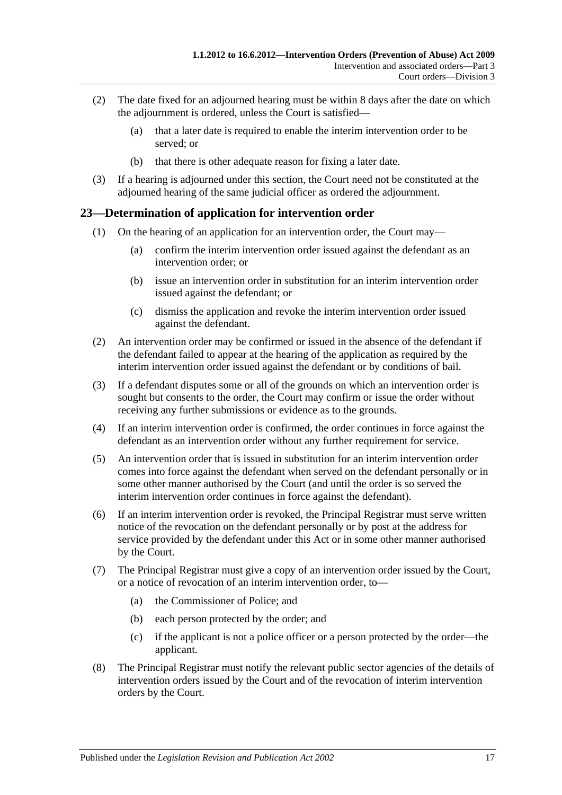- (2) The date fixed for an adjourned hearing must be within 8 days after the date on which the adjournment is ordered, unless the Court is satisfied—
	- (a) that a later date is required to enable the interim intervention order to be served; or
	- (b) that there is other adequate reason for fixing a later date.
- (3) If a hearing is adjourned under this section, the Court need not be constituted at the adjourned hearing of the same judicial officer as ordered the adjournment.

### <span id="page-16-0"></span>**23—Determination of application for intervention order**

- (1) On the hearing of an application for an intervention order, the Court may—
	- (a) confirm the interim intervention order issued against the defendant as an intervention order; or
	- (b) issue an intervention order in substitution for an interim intervention order issued against the defendant; or
	- (c) dismiss the application and revoke the interim intervention order issued against the defendant.
- (2) An intervention order may be confirmed or issued in the absence of the defendant if the defendant failed to appear at the hearing of the application as required by the interim intervention order issued against the defendant or by conditions of bail.
- (3) If a defendant disputes some or all of the grounds on which an intervention order is sought but consents to the order, the Court may confirm or issue the order without receiving any further submissions or evidence as to the grounds.
- (4) If an interim intervention order is confirmed, the order continues in force against the defendant as an intervention order without any further requirement for service.
- (5) An intervention order that is issued in substitution for an interim intervention order comes into force against the defendant when served on the defendant personally or in some other manner authorised by the Court (and until the order is so served the interim intervention order continues in force against the defendant).
- (6) If an interim intervention order is revoked, the Principal Registrar must serve written notice of the revocation on the defendant personally or by post at the address for service provided by the defendant under this Act or in some other manner authorised by the Court.
- (7) The Principal Registrar must give a copy of an intervention order issued by the Court, or a notice of revocation of an interim intervention order, to—
	- (a) the Commissioner of Police; and
	- (b) each person protected by the order; and
	- (c) if the applicant is not a police officer or a person protected by the order—the applicant.
- (8) The Principal Registrar must notify the relevant public sector agencies of the details of intervention orders issued by the Court and of the revocation of interim intervention orders by the Court.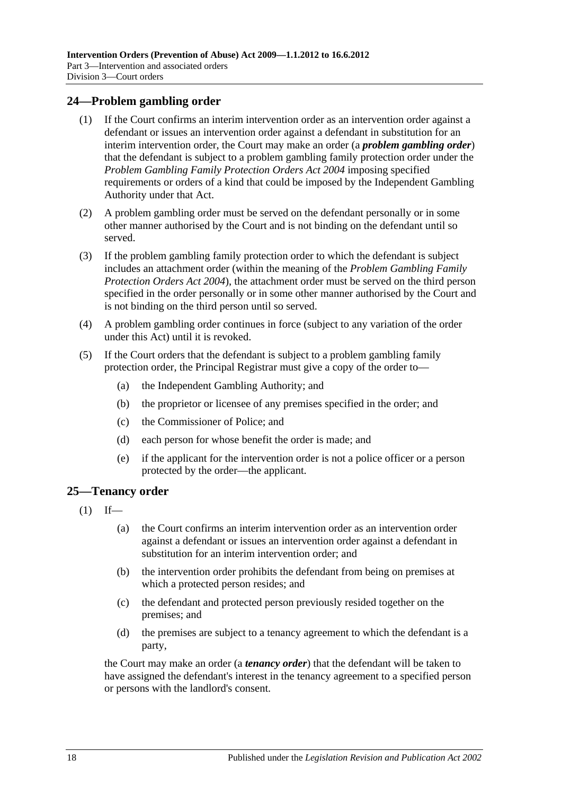#### <span id="page-17-0"></span>**24—Problem gambling order**

- (1) If the Court confirms an interim intervention order as an intervention order against a defendant or issues an intervention order against a defendant in substitution for an interim intervention order, the Court may make an order (a *problem gambling order*) that the defendant is subject to a problem gambling family protection order under the *[Problem Gambling Family Protection Orders Act](http://www.legislation.sa.gov.au/index.aspx?action=legref&type=act&legtitle=Problem%20Gambling%20Family%20Protection%20Orders%20Act%202004) 2004* imposing specified requirements or orders of a kind that could be imposed by the Independent Gambling Authority under that Act.
- (2) A problem gambling order must be served on the defendant personally or in some other manner authorised by the Court and is not binding on the defendant until so served.
- (3) If the problem gambling family protection order to which the defendant is subject includes an attachment order (within the meaning of the *[Problem Gambling Family](http://www.legislation.sa.gov.au/index.aspx?action=legref&type=act&legtitle=Problem%20Gambling%20Family%20Protection%20Orders%20Act%202004)  [Protection Orders Act](http://www.legislation.sa.gov.au/index.aspx?action=legref&type=act&legtitle=Problem%20Gambling%20Family%20Protection%20Orders%20Act%202004) 2004*), the attachment order must be served on the third person specified in the order personally or in some other manner authorised by the Court and is not binding on the third person until so served.
- (4) A problem gambling order continues in force (subject to any variation of the order under this Act) until it is revoked.
- (5) If the Court orders that the defendant is subject to a problem gambling family protection order, the Principal Registrar must give a copy of the order to—
	- (a) the Independent Gambling Authority; and
	- (b) the proprietor or licensee of any premises specified in the order; and
	- (c) the Commissioner of Police; and
	- (d) each person for whose benefit the order is made; and
	- (e) if the applicant for the intervention order is not a police officer or a person protected by the order—the applicant.

#### <span id="page-17-1"></span>**25—Tenancy order**

- $(1)$  If—
	- (a) the Court confirms an interim intervention order as an intervention order against a defendant or issues an intervention order against a defendant in substitution for an interim intervention order; and
	- (b) the intervention order prohibits the defendant from being on premises at which a protected person resides; and
	- (c) the defendant and protected person previously resided together on the premises; and
	- (d) the premises are subject to a tenancy agreement to which the defendant is a party,

the Court may make an order (a *tenancy order*) that the defendant will be taken to have assigned the defendant's interest in the tenancy agreement to a specified person or persons with the landlord's consent.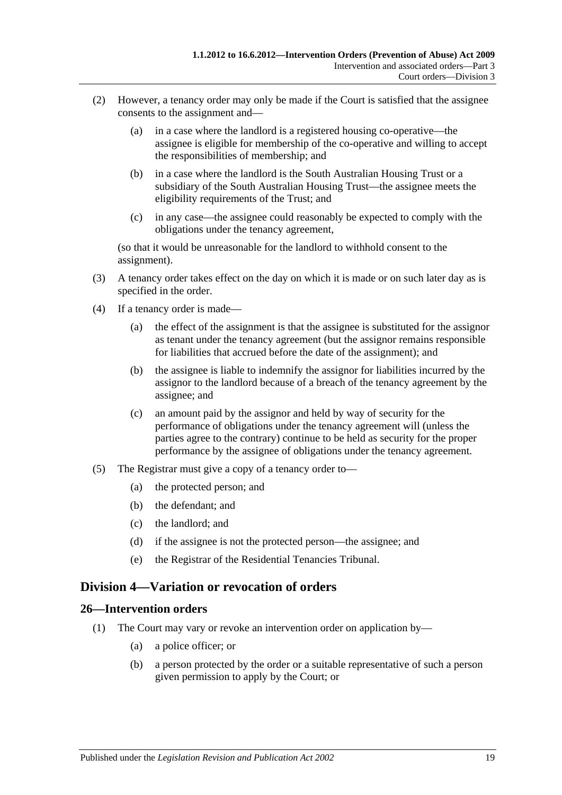- (2) However, a tenancy order may only be made if the Court is satisfied that the assignee consents to the assignment and—
	- (a) in a case where the landlord is a registered housing co-operative—the assignee is eligible for membership of the co-operative and willing to accept the responsibilities of membership; and
	- (b) in a case where the landlord is the South Australian Housing Trust or a subsidiary of the South Australian Housing Trust—the assignee meets the eligibility requirements of the Trust; and
	- (c) in any case—the assignee could reasonably be expected to comply with the obligations under the tenancy agreement,

(so that it would be unreasonable for the landlord to withhold consent to the assignment).

- (3) A tenancy order takes effect on the day on which it is made or on such later day as is specified in the order.
- (4) If a tenancy order is made—
	- (a) the effect of the assignment is that the assignee is substituted for the assignor as tenant under the tenancy agreement (but the assignor remains responsible for liabilities that accrued before the date of the assignment); and
	- (b) the assignee is liable to indemnify the assignor for liabilities incurred by the assignor to the landlord because of a breach of the tenancy agreement by the assignee; and
	- (c) an amount paid by the assignor and held by way of security for the performance of obligations under the tenancy agreement will (unless the parties agree to the contrary) continue to be held as security for the proper performance by the assignee of obligations under the tenancy agreement.
- (5) The Registrar must give a copy of a tenancy order to—
	- (a) the protected person; and
	- (b) the defendant; and
	- (c) the landlord; and
	- (d) if the assignee is not the protected person—the assignee; and
	- (e) the Registrar of the Residential Tenancies Tribunal.

### <span id="page-18-0"></span>**Division 4—Variation or revocation of orders**

### <span id="page-18-1"></span>**26—Intervention orders**

- (1) The Court may vary or revoke an intervention order on application by—
	- (a) a police officer; or
	- (b) a person protected by the order or a suitable representative of such a person given permission to apply by the Court; or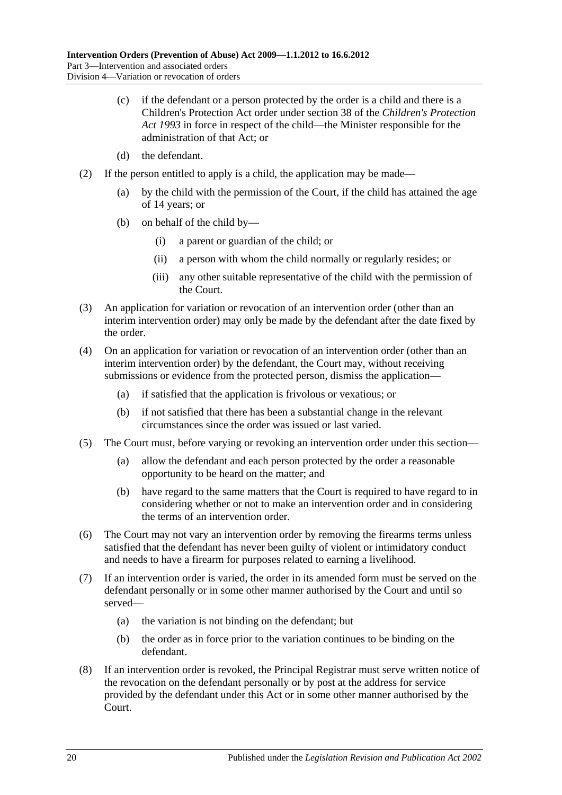- (c) if the defendant or a person protected by the order is a child and there is a Children's Protection Act order under section 38 of the *[Children's Protection](http://www.legislation.sa.gov.au/index.aspx?action=legref&type=act&legtitle=Childrens%20Protection%20Act%201993)  Act [1993](http://www.legislation.sa.gov.au/index.aspx?action=legref&type=act&legtitle=Childrens%20Protection%20Act%201993)* in force in respect of the child—the Minister responsible for the administration of that Act; or
- (d) the defendant.
- (2) If the person entitled to apply is a child, the application may be made—
	- (a) by the child with the permission of the Court, if the child has attained the age of 14 years; or
	- (b) on behalf of the child by—
		- (i) a parent or guardian of the child; or
		- (ii) a person with whom the child normally or regularly resides; or
		- (iii) any other suitable representative of the child with the permission of the Court.
- (3) An application for variation or revocation of an intervention order (other than an interim intervention order) may only be made by the defendant after the date fixed by the order.
- (4) On an application for variation or revocation of an intervention order (other than an interim intervention order) by the defendant, the Court may, without receiving submissions or evidence from the protected person, dismiss the application—
	- (a) if satisfied that the application is frivolous or vexatious; or
	- (b) if not satisfied that there has been a substantial change in the relevant circumstances since the order was issued or last varied.
- (5) The Court must, before varying or revoking an intervention order under this section—
	- (a) allow the defendant and each person protected by the order a reasonable opportunity to be heard on the matter; and
	- (b) have regard to the same matters that the Court is required to have regard to in considering whether or not to make an intervention order and in considering the terms of an intervention order.
- (6) The Court may not vary an intervention order by removing the firearms terms unless satisfied that the defendant has never been guilty of violent or intimidatory conduct and needs to have a firearm for purposes related to earning a livelihood.
- (7) If an intervention order is varied, the order in its amended form must be served on the defendant personally or in some other manner authorised by the Court and until so served—
	- (a) the variation is not binding on the defendant; but
	- (b) the order as in force prior to the variation continues to be binding on the defendant.
- (8) If an intervention order is revoked, the Principal Registrar must serve written notice of the revocation on the defendant personally or by post at the address for service provided by the defendant under this Act or in some other manner authorised by the Court.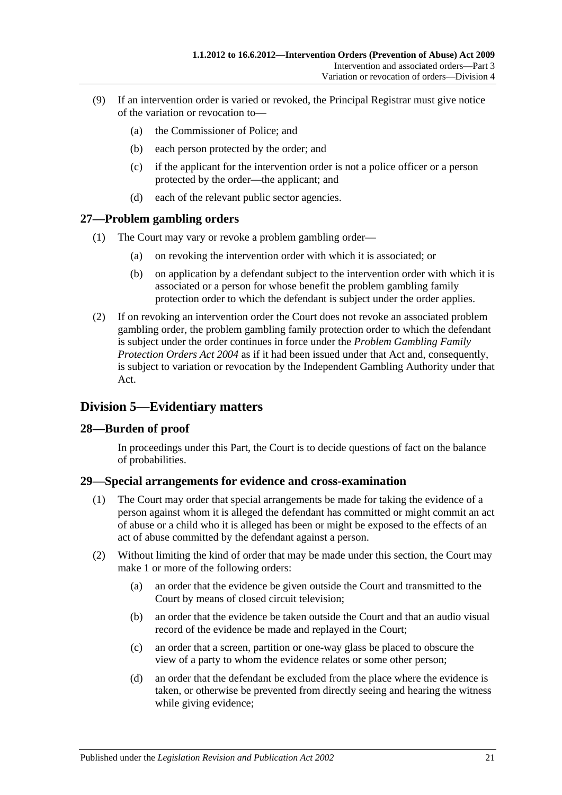- (9) If an intervention order is varied or revoked, the Principal Registrar must give notice of the variation or revocation to—
	- (a) the Commissioner of Police; and
	- (b) each person protected by the order; and
	- (c) if the applicant for the intervention order is not a police officer or a person protected by the order—the applicant; and
	- (d) each of the relevant public sector agencies.

### <span id="page-20-0"></span>**27—Problem gambling orders**

- (1) The Court may vary or revoke a problem gambling order—
	- (a) on revoking the intervention order with which it is associated; or
	- (b) on application by a defendant subject to the intervention order with which it is associated or a person for whose benefit the problem gambling family protection order to which the defendant is subject under the order applies.
- (2) If on revoking an intervention order the Court does not revoke an associated problem gambling order, the problem gambling family protection order to which the defendant is subject under the order continues in force under the *[Problem Gambling Family](http://www.legislation.sa.gov.au/index.aspx?action=legref&type=act&legtitle=Problem%20Gambling%20Family%20Protection%20Orders%20Act%202004)  [Protection Orders Act](http://www.legislation.sa.gov.au/index.aspx?action=legref&type=act&legtitle=Problem%20Gambling%20Family%20Protection%20Orders%20Act%202004) 2004* as if it had been issued under that Act and, consequently, is subject to variation or revocation by the Independent Gambling Authority under that Act.

## <span id="page-20-1"></span>**Division 5—Evidentiary matters**

### <span id="page-20-2"></span>**28—Burden of proof**

In proceedings under this Part, the Court is to decide questions of fact on the balance of probabilities.

### <span id="page-20-3"></span>**29—Special arrangements for evidence and cross-examination**

- (1) The Court may order that special arrangements be made for taking the evidence of a person against whom it is alleged the defendant has committed or might commit an act of abuse or a child who it is alleged has been or might be exposed to the effects of an act of abuse committed by the defendant against a person.
- (2) Without limiting the kind of order that may be made under this section, the Court may make 1 or more of the following orders:
	- (a) an order that the evidence be given outside the Court and transmitted to the Court by means of closed circuit television;
	- (b) an order that the evidence be taken outside the Court and that an audio visual record of the evidence be made and replayed in the Court;
	- (c) an order that a screen, partition or one-way glass be placed to obscure the view of a party to whom the evidence relates or some other person;
	- (d) an order that the defendant be excluded from the place where the evidence is taken, or otherwise be prevented from directly seeing and hearing the witness while giving evidence;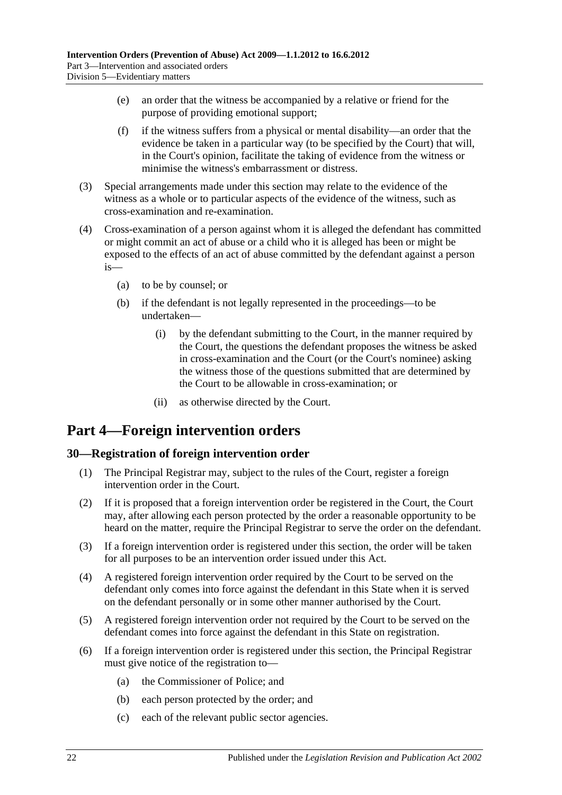- (e) an order that the witness be accompanied by a relative or friend for the purpose of providing emotional support;
- (f) if the witness suffers from a physical or mental disability—an order that the evidence be taken in a particular way (to be specified by the Court) that will, in the Court's opinion, facilitate the taking of evidence from the witness or minimise the witness's embarrassment or distress.
- (3) Special arrangements made under this section may relate to the evidence of the witness as a whole or to particular aspects of the evidence of the witness, such as cross-examination and re-examination.
- (4) Cross-examination of a person against whom it is alleged the defendant has committed or might commit an act of abuse or a child who it is alleged has been or might be exposed to the effects of an act of abuse committed by the defendant against a person is—
	- (a) to be by counsel; or
	- (b) if the defendant is not legally represented in the proceedings—to be undertaken—
		- (i) by the defendant submitting to the Court, in the manner required by the Court, the questions the defendant proposes the witness be asked in cross-examination and the Court (or the Court's nominee) asking the witness those of the questions submitted that are determined by the Court to be allowable in cross-examination; or
		- (ii) as otherwise directed by the Court.

# <span id="page-21-0"></span>**Part 4—Foreign intervention orders**

### <span id="page-21-1"></span>**30—Registration of foreign intervention order**

- (1) The Principal Registrar may, subject to the rules of the Court, register a foreign intervention order in the Court.
- (2) If it is proposed that a foreign intervention order be registered in the Court, the Court may, after allowing each person protected by the order a reasonable opportunity to be heard on the matter, require the Principal Registrar to serve the order on the defendant.
- (3) If a foreign intervention order is registered under this section, the order will be taken for all purposes to be an intervention order issued under this Act.
- (4) A registered foreign intervention order required by the Court to be served on the defendant only comes into force against the defendant in this State when it is served on the defendant personally or in some other manner authorised by the Court.
- (5) A registered foreign intervention order not required by the Court to be served on the defendant comes into force against the defendant in this State on registration.
- (6) If a foreign intervention order is registered under this section, the Principal Registrar must give notice of the registration to—
	- (a) the Commissioner of Police; and
	- (b) each person protected by the order; and
	- (c) each of the relevant public sector agencies.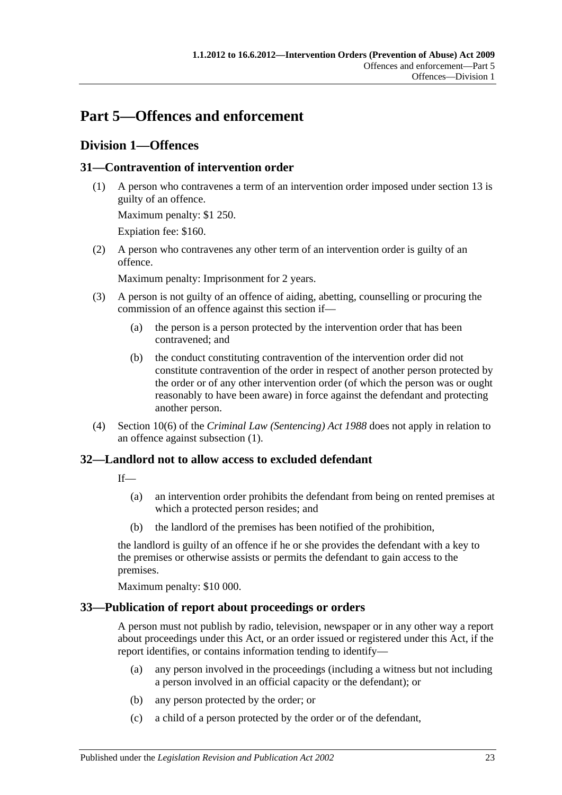# <span id="page-22-0"></span>**Part 5—Offences and enforcement**

## <span id="page-22-1"></span>**Division 1—Offences**

### <span id="page-22-5"></span><span id="page-22-2"></span>**31—Contravention of intervention order**

(1) A person who contravenes a term of an intervention order imposed under [section](#page-10-0) 13 is guilty of an offence.

Maximum penalty: \$1 250.

Expiation fee: \$160.

(2) A person who contravenes any other term of an intervention order is guilty of an offence.

Maximum penalty: Imprisonment for 2 years.

- (3) A person is not guilty of an offence of aiding, abetting, counselling or procuring the commission of an offence against this section if—
	- (a) the person is a person protected by the intervention order that has been contravened; and
	- (b) the conduct constituting contravention of the intervention order did not constitute contravention of the order in respect of another person protected by the order or of any other intervention order (of which the person was or ought reasonably to have been aware) in force against the defendant and protecting another person.
- (4) Section 10(6) of the *[Criminal Law \(Sentencing\) Act](http://www.legislation.sa.gov.au/index.aspx?action=legref&type=act&legtitle=Criminal%20Law%20(Sentencing)%20Act%201988) 1988* does not apply in relation to an offence against [subsection](#page-22-5) (1).

### <span id="page-22-3"></span>**32—Landlord not to allow access to excluded defendant**

If—

- (a) an intervention order prohibits the defendant from being on rented premises at which a protected person resides; and
- (b) the landlord of the premises has been notified of the prohibition,

the landlord is guilty of an offence if he or she provides the defendant with a key to the premises or otherwise assists or permits the defendant to gain access to the premises.

Maximum penalty: \$10 000.

### <span id="page-22-4"></span>**33—Publication of report about proceedings or orders**

A person must not publish by radio, television, newspaper or in any other way a report about proceedings under this Act, or an order issued or registered under this Act, if the report identifies, or contains information tending to identify—

- (a) any person involved in the proceedings (including a witness but not including a person involved in an official capacity or the defendant); or
- (b) any person protected by the order; or
- (c) a child of a person protected by the order or of the defendant,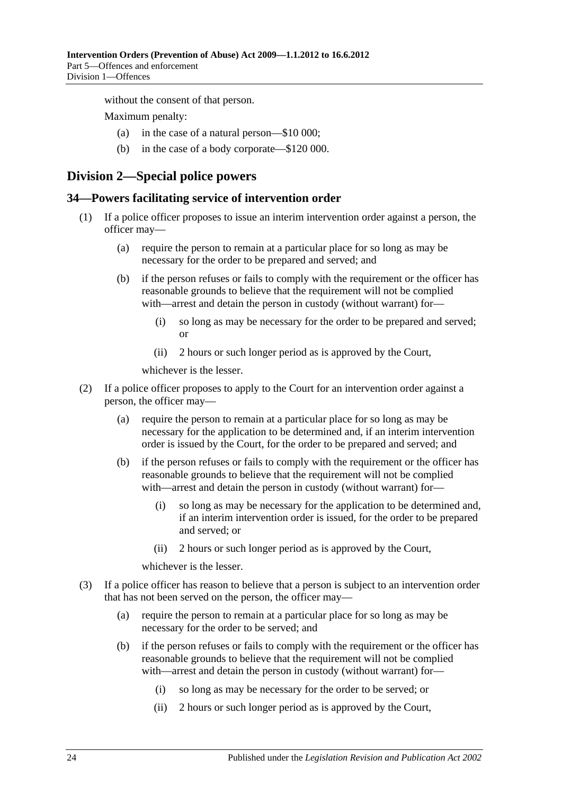without the consent of that person.

Maximum penalty:

- (a) in the case of a natural person—\$10 000;
- (b) in the case of a body corporate—\$120 000.

### <span id="page-23-0"></span>**Division 2—Special police powers**

#### <span id="page-23-1"></span>**34—Powers facilitating service of intervention order**

- (1) If a police officer proposes to issue an interim intervention order against a person, the officer may—
	- (a) require the person to remain at a particular place for so long as may be necessary for the order to be prepared and served; and
	- (b) if the person refuses or fails to comply with the requirement or the officer has reasonable grounds to believe that the requirement will not be complied with—arrest and detain the person in custody (without warrant) for—
		- (i) so long as may be necessary for the order to be prepared and served; or
		- (ii) 2 hours or such longer period as is approved by the Court,

whichever is the lesser.

- (2) If a police officer proposes to apply to the Court for an intervention order against a person, the officer may—
	- (a) require the person to remain at a particular place for so long as may be necessary for the application to be determined and, if an interim intervention order is issued by the Court, for the order to be prepared and served; and
	- (b) if the person refuses or fails to comply with the requirement or the officer has reasonable grounds to believe that the requirement will not be complied with—arrest and detain the person in custody (without warrant) for—
		- (i) so long as may be necessary for the application to be determined and, if an interim intervention order is issued, for the order to be prepared and served; or
		- (ii) 2 hours or such longer period as is approved by the Court,

whichever is the lesser.

- (3) If a police officer has reason to believe that a person is subject to an intervention order that has not been served on the person, the officer may—
	- (a) require the person to remain at a particular place for so long as may be necessary for the order to be served; and
	- (b) if the person refuses or fails to comply with the requirement or the officer has reasonable grounds to believe that the requirement will not be complied with—arrest and detain the person in custody (without warrant) for-
		- (i) so long as may be necessary for the order to be served; or
		- (ii) 2 hours or such longer period as is approved by the Court,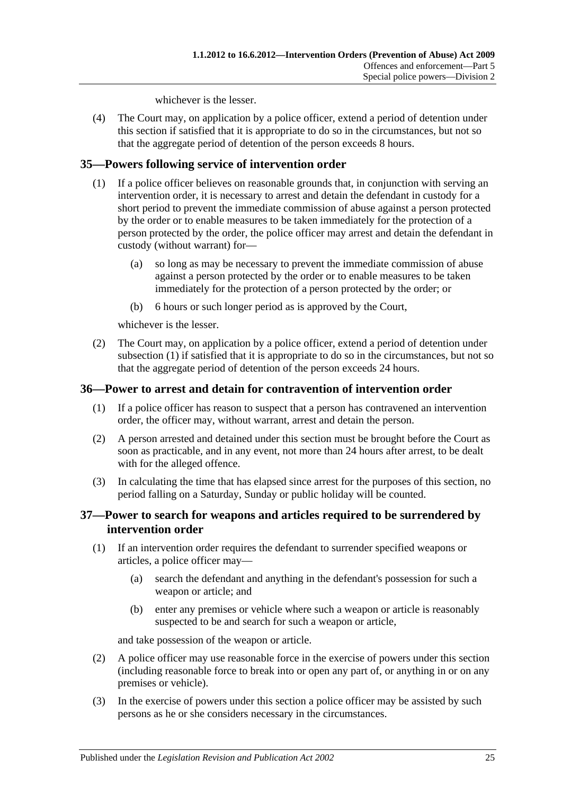whichever is the lesser.

(4) The Court may, on application by a police officer, extend a period of detention under this section if satisfied that it is appropriate to do so in the circumstances, but not so that the aggregate period of detention of the person exceeds 8 hours.

### <span id="page-24-3"></span><span id="page-24-0"></span>**35—Powers following service of intervention order**

- (1) If a police officer believes on reasonable grounds that, in conjunction with serving an intervention order, it is necessary to arrest and detain the defendant in custody for a short period to prevent the immediate commission of abuse against a person protected by the order or to enable measures to be taken immediately for the protection of a person protected by the order, the police officer may arrest and detain the defendant in custody (without warrant) for—
	- (a) so long as may be necessary to prevent the immediate commission of abuse against a person protected by the order or to enable measures to be taken immediately for the protection of a person protected by the order; or
	- (b) 6 hours or such longer period as is approved by the Court,

whichever is the lesser.

(2) The Court may, on application by a police officer, extend a period of detention under [subsection](#page-24-3) (1) if satisfied that it is appropriate to do so in the circumstances, but not so that the aggregate period of detention of the person exceeds 24 hours.

### <span id="page-24-1"></span>**36—Power to arrest and detain for contravention of intervention order**

- (1) If a police officer has reason to suspect that a person has contravened an intervention order, the officer may, without warrant, arrest and detain the person.
- (2) A person arrested and detained under this section must be brought before the Court as soon as practicable, and in any event, not more than 24 hours after arrest, to be dealt with for the alleged offence.
- (3) In calculating the time that has elapsed since arrest for the purposes of this section, no period falling on a Saturday, Sunday or public holiday will be counted.

### <span id="page-24-2"></span>**37—Power to search for weapons and articles required to be surrendered by intervention order**

- (1) If an intervention order requires the defendant to surrender specified weapons or articles, a police officer may—
	- (a) search the defendant and anything in the defendant's possession for such a weapon or article; and
	- (b) enter any premises or vehicle where such a weapon or article is reasonably suspected to be and search for such a weapon or article,

and take possession of the weapon or article.

- (2) A police officer may use reasonable force in the exercise of powers under this section (including reasonable force to break into or open any part of, or anything in or on any premises or vehicle).
- (3) In the exercise of powers under this section a police officer may be assisted by such persons as he or she considers necessary in the circumstances.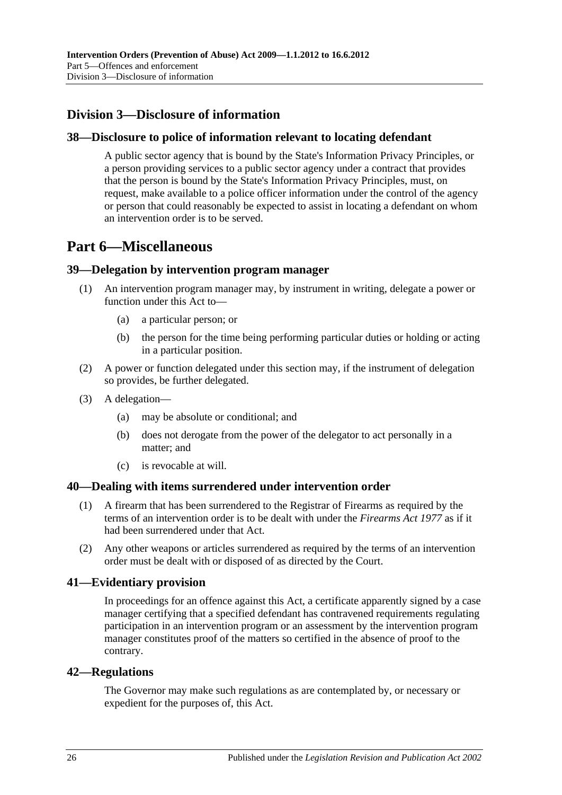# <span id="page-25-0"></span>**Division 3—Disclosure of information**

### <span id="page-25-1"></span>**38—Disclosure to police of information relevant to locating defendant**

A public sector agency that is bound by the State's Information Privacy Principles, or a person providing services to a public sector agency under a contract that provides that the person is bound by the State's Information Privacy Principles, must, on request, make available to a police officer information under the control of the agency or person that could reasonably be expected to assist in locating a defendant on whom an intervention order is to be served.

# <span id="page-25-2"></span>**Part 6—Miscellaneous**

### <span id="page-25-3"></span>**39—Delegation by intervention program manager**

- (1) An intervention program manager may, by instrument in writing, delegate a power or function under this Act to—
	- (a) a particular person; or
	- (b) the person for the time being performing particular duties or holding or acting in a particular position.
- (2) A power or function delegated under this section may, if the instrument of delegation so provides, be further delegated.
- (3) A delegation—
	- (a) may be absolute or conditional; and
	- (b) does not derogate from the power of the delegator to act personally in a matter; and
	- (c) is revocable at will.

#### <span id="page-25-4"></span>**40—Dealing with items surrendered under intervention order**

- (1) A firearm that has been surrendered to the Registrar of Firearms as required by the terms of an intervention order is to be dealt with under the *[Firearms Act](http://www.legislation.sa.gov.au/index.aspx?action=legref&type=act&legtitle=Firearms%20Act%201977) 1977* as if it had been surrendered under that Act.
- (2) Any other weapons or articles surrendered as required by the terms of an intervention order must be dealt with or disposed of as directed by the Court.

### <span id="page-25-5"></span>**41—Evidentiary provision**

In proceedings for an offence against this Act, a certificate apparently signed by a case manager certifying that a specified defendant has contravened requirements regulating participation in an intervention program or an assessment by the intervention program manager constitutes proof of the matters so certified in the absence of proof to the contrary.

#### <span id="page-25-6"></span>**42—Regulations**

The Governor may make such regulations as are contemplated by, or necessary or expedient for the purposes of, this Act.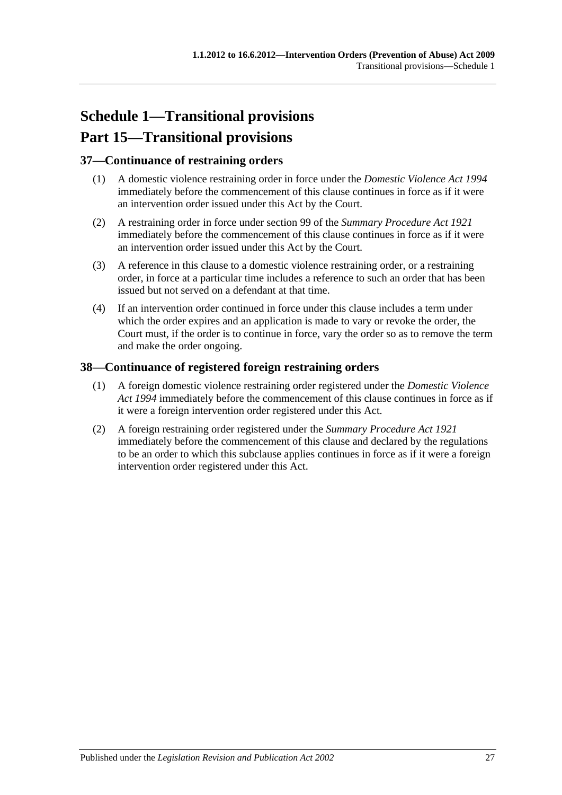# <span id="page-26-0"></span>**Schedule 1—Transitional provisions Part 15—Transitional provisions**

### <span id="page-26-1"></span>**37—Continuance of restraining orders**

- (1) A domestic violence restraining order in force under the *[Domestic Violence Act](http://www.legislation.sa.gov.au/index.aspx?action=legref&type=act&legtitle=Domestic%20Violence%20Act%201994) 1994* immediately before the commencement of this clause continues in force as if it were an intervention order issued under this Act by the Court.
- (2) A restraining order in force under section 99 of the *[Summary Procedure Act](http://www.legislation.sa.gov.au/index.aspx?action=legref&type=act&legtitle=Summary%20Procedure%20Act%201921) 1921* immediately before the commencement of this clause continues in force as if it were an intervention order issued under this Act by the Court.
- (3) A reference in this clause to a domestic violence restraining order, or a restraining order, in force at a particular time includes a reference to such an order that has been issued but not served on a defendant at that time.
- (4) If an intervention order continued in force under this clause includes a term under which the order expires and an application is made to vary or revoke the order, the Court must, if the order is to continue in force, vary the order so as to remove the term and make the order ongoing.

### <span id="page-26-2"></span>**38—Continuance of registered foreign restraining orders**

- (1) A foreign domestic violence restraining order registered under the *[Domestic Violence](http://www.legislation.sa.gov.au/index.aspx?action=legref&type=act&legtitle=Domestic%20Violence%20Act%201994)  Act [1994](http://www.legislation.sa.gov.au/index.aspx?action=legref&type=act&legtitle=Domestic%20Violence%20Act%201994)* immediately before the commencement of this clause continues in force as if it were a foreign intervention order registered under this Act.
- (2) A foreign restraining order registered under the *[Summary Procedure Act](http://www.legislation.sa.gov.au/index.aspx?action=legref&type=act&legtitle=Summary%20Procedure%20Act%201921) 1921* immediately before the commencement of this clause and declared by the regulations to be an order to which this subclause applies continues in force as if it were a foreign intervention order registered under this Act.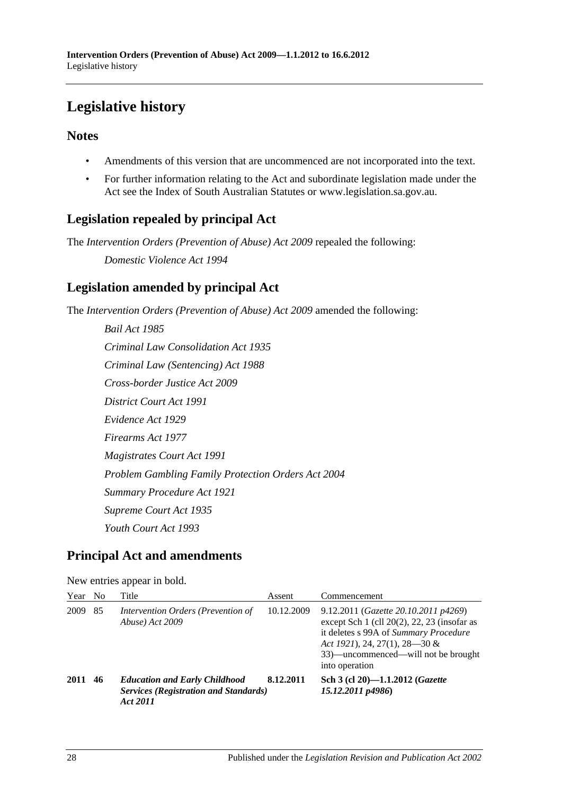# <span id="page-27-0"></span>**Legislative history**

### **Notes**

- Amendments of this version that are uncommenced are not incorporated into the text.
- For further information relating to the Act and subordinate legislation made under the Act see the Index of South Australian Statutes or www.legislation.sa.gov.au.

# **Legislation repealed by principal Act**

The *Intervention Orders (Prevention of Abuse) Act 2009* repealed the following:

*Domestic Violence Act 1994*

# **Legislation amended by principal Act**

The *Intervention Orders (Prevention of Abuse) Act 2009* amended the following:

*Bail Act 1985 Criminal Law Consolidation Act 1935 Criminal Law (Sentencing) Act 1988 Cross-border Justice Act 2009 District Court Act 1991 Evidence Act 1929 Firearms Act 1977 Magistrates Court Act 1991 Problem Gambling Family Protection Orders Act 2004 Summary Procedure Act 1921 Supreme Court Act 1935 Youth Court Act 1993*

# **Principal Act and amendments**

#### New entries appear in bold.

| Year No |    | Title                                                                                            | Assent     | Commencement                                                                                                                                                                                                                |
|---------|----|--------------------------------------------------------------------------------------------------|------------|-----------------------------------------------------------------------------------------------------------------------------------------------------------------------------------------------------------------------------|
| 2009    | 85 | Intervention Orders (Prevention of<br>Abuse) Act 2009                                            | 10.12.2009 | 9.12.2011 (Gazette 20.10.2011 p4269)<br>except Sch $1$ (cll $20(2)$ , 22, 23 (insofar as<br>it deletes s 99A of Summary Procedure<br>Act 1921), 24, 27(1), 28–30 &<br>33)—uncommenced—will not be brought<br>into operation |
| 2011    | 46 | <b>Education and Early Childhood</b><br><b>Services (Registration and Standards)</b><br>Act 2011 | 8.12.2011  | Sch 3 (cl 20)-1.1.2012 ( <i>Gazette</i><br>15.12.2011 p4986)                                                                                                                                                                |